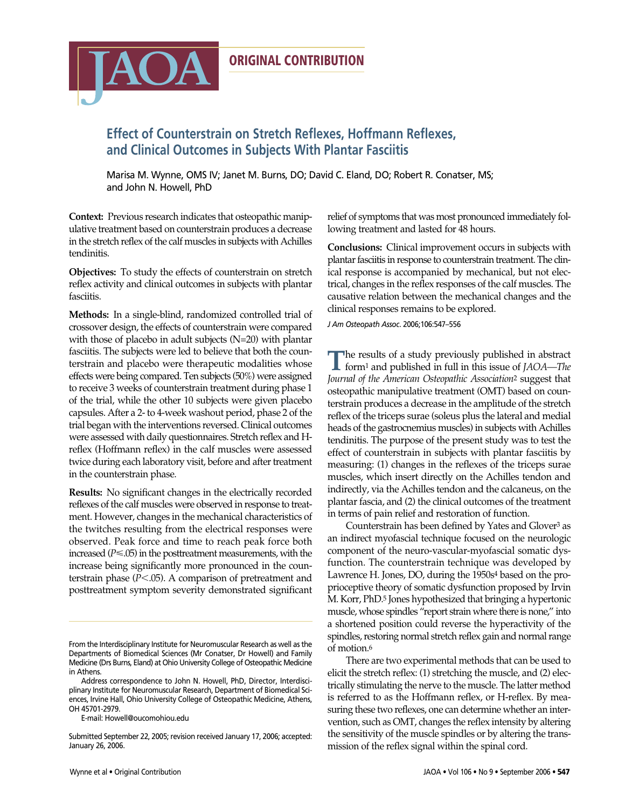

# **Effect of Counterstrain on Stretch Reflexes, Hoffmann Reflexes, and Clinical Outcomes in Subjects With Plantar Fasciitis**

Marisa M. Wynne, OMS IV; Janet M. Burns, DO; David C. Eland, DO; Robert R. Conatser, MS; and John N. Howell, PhD

**Context:** Previous research indicates that osteopathic manipulative treatment based on counterstrain produces a decrease in the stretch reflex of the calf muscles in subjects with Achilles tendinitis.

**IAOA** 

**Objectives:** To study the effects of counterstrain on stretch reflex activity and clinical outcomes in subjects with plantar fasciitis.

**Methods:** In a single-blind, randomized controlled trial of crossover design, the effects of counterstrain were compared with those of placebo in adult subjects (N=20) with plantar fasciitis. The subjects were led to believe that both the counterstrain and placebo were therapeutic modalities whose effects were being compared. Ten subjects (50%) were assigned to receive 3 weeks of counterstrain treatment during phase 1 of the trial, while the other 10 subjects were given placebo capsules. After a 2- to 4-week washout period, phase 2 of the trial began with the interventions reversed. Clinical outcomes were assessed with daily questionnaires. Stretch reflex and Hreflex (Hoffmann reflex) in the calf muscles were assessed twice during each laboratory visit, before and after treatment in the counterstrain phase.

**Results:** No significant changes in the electrically recorded reflexes of the calf muscles were observed in response to treatment. However, changes in the mechanical characteristics of the twitches resulting from the electrical responses were observed. Peak force and time to reach peak force both increased  $(P \le 0.05)$  in the posttreatment measurements, with the increase being significantly more pronounced in the counterstrain phase  $(P<.05)$ . A comparison of pretreatment and posttreatment symptom severity demonstrated significant

E-mail: Howell@oucomohiou.edu

relief of symptoms that was most pronounced immediately following treatment and lasted for 48 hours.

**Conclusions:** Clinical improvement occurs in subjects with plantar fasciitis in response to counterstrain treatment. The clinical response is accompanied by mechanical, but not electrical, changes in the reflex responses of the calf muscles. The causative relation between the mechanical changes and the clinical responses remains to be explored.

*J Am Osteopath Assoc*. 2006;106:547–556

The results of a study previously published in abstract form<sup>1</sup> and published in full in this issue of *JAOA—The Journal of the American Osteopathic Association*<sup>2</sup> suggest that osteopathic manipulative treatment (OMT) based on counterstrain produces a decrease in the amplitude of the stretch reflex of the triceps surae (soleus plus the lateral and medial heads of the gastrocnemius muscles) in subjects with Achilles tendinitis. The purpose of the present study was to test the effect of counterstrain in subjects with plantar fasciitis by measuring: (1) changes in the reflexes of the triceps surae muscles, which insert directly on the Achilles tendon and indirectly, via the Achilles tendon and the calcaneus, on the plantar fascia, and (2) the clinical outcomes of the treatment in terms of pain relief and restoration of function.

Counterstrain has been defined by Yates and Glover<sup>3</sup> as an indirect myofascial technique focused on the neurologic component of the neuro-vascular-myofascial somatic dysfunction. The counterstrain technique was developed by Lawrence H. Jones, DO, during the 1950s<sup>4</sup> based on the proprioceptive theory of somatic dysfunction proposed by Irvin M. Korr, PhD.5 Jones hypothesized that bringing a hypertonic muscle, whose spindles "report strain where there is none," into a shortened position could reverse the hyperactivity of the spindles, restoring normal stretch reflex gain and normal range of motion.6

There are two experimental methods that can be used to elicit the stretch reflex: (1) stretching the muscle, and (2) electrically stimulating the nerve to the muscle. The latter method is referred to as the Hoffmann reflex, or H-reflex. By measuring these two reflexes, one can determine whether an intervention, such as OMT, changes the reflex intensity by altering the sensitivity of the muscle spindles or by altering the transmission of the reflex signal within the spinal cord.

From the Interdisciplinary Institute for Neuromuscular Research as well as the Departments of Biomedical Sciences (Mr Conatser, Dr Howell) and Family Medicine (Drs Burns, Eland) at Ohio University College of Osteopathic Medicine in Athens.

Address correspondence to John N. Howell, PhD, Director, Interdisciplinary Institute for Neuromuscular Research, Department of Biomedical Sciences, Irvine Hall, Ohio University College of Osteopathic Medicine, Athens, OH 45701-2979.

Submitted September 22, 2005; revision received January 17, 2006; accepted: January 26, 2006.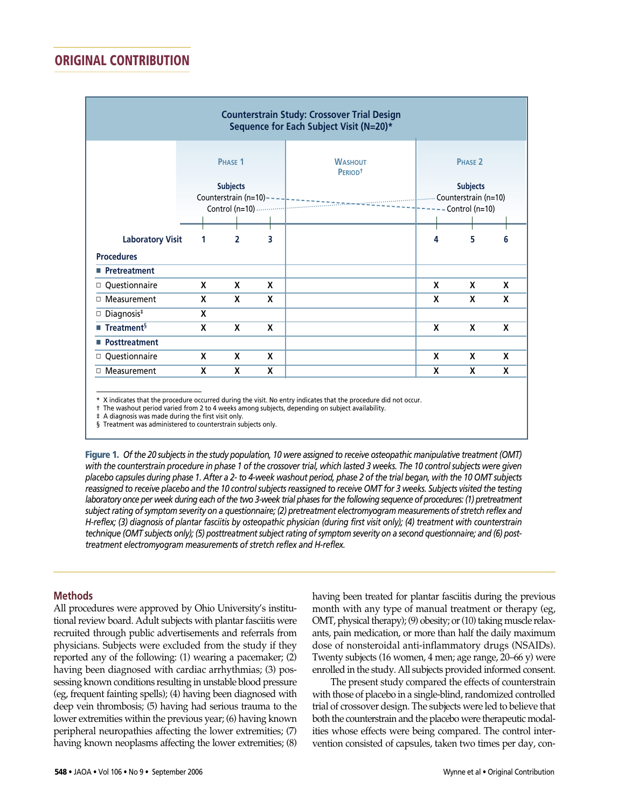|                                       |                                                                                  |                |   | <b>Counterstrain Study: Crossover Trial Design</b><br>Sequence for Each Subject Visit (N=20)* |                                                     |   |   |
|---------------------------------------|----------------------------------------------------------------------------------|----------------|---|-----------------------------------------------------------------------------------------------|-----------------------------------------------------|---|---|
|                                       | PHASE <sub>1</sub><br><b>Subjects</b><br>Counterstrain (n=10)-<br>Control (n=10) |                |   | <b>WASHOUT</b><br>PERIOD <sup>+</sup>                                                         | <b>PHASE 2</b><br><b>Subjects</b><br>Control (n=10) |   |   |
|                                       |                                                                                  |                |   |                                                                                               |                                                     |   |   |
| <b>Laboratory Visit</b>               | 1                                                                                | $\overline{2}$ | 3 |                                                                                               | 4                                                   | 5 | 6 |
| <b>Procedures</b>                     |                                                                                  |                |   |                                                                                               |                                                     |   |   |
| ■ Pretreatment                        |                                                                                  |                |   |                                                                                               |                                                     |   |   |
| Questionnaire                         | X                                                                                | X              | X |                                                                                               | X                                                   | X | X |
| □ Measurement                         | X                                                                                | X              | X |                                                                                               | X                                                   | X | X |
| Diagnosis <sup>#</sup><br>о           | X                                                                                |                |   |                                                                                               |                                                     |   |   |
| $\blacksquare$ Treatment <sup>§</sup> | X                                                                                | X              | X |                                                                                               | X                                                   | X | X |
| ■ Posttreatment                       |                                                                                  |                |   |                                                                                               |                                                     |   |   |
| Questionnaire                         | X                                                                                | X              | X |                                                                                               | X                                                   | X | X |
| □ Measurement                         | X                                                                                | X              | X |                                                                                               | X                                                   | X | X |

\* X indicates that the procedure occurred during the visit. No entry indicates that the procedure did not occur.

† The washout period varied from 2 to 4 weeks among subjects, depending on subject availability.

A diagnosis was made during the first visit only.

§ Treatment was administered to counterstrain subjects only.

**Figure 1.** *Of the 20 subjects in the study population, 10 were assigned to receive osteopathic manipulative treatment (OMT) with the counterstrain procedure in phase 1 of the crossover trial, which lasted 3 weeks. The 10 control subjects were given placebo capsules during phase 1. After a 2- to 4-week washout period, phase 2 of the trial began, with the 10 OMT subjects reassigned to receive placebo and the 10 control subjects reassigned to receive OMT for 3 weeks. Subjects visited the testing laboratory once per week during each of the two 3-week trial phases for the following sequence of procedures: (1) pretreatment subject rating of symptom severity on a questionnaire; (2) pretreatment electromyogram measurements of stretch reflex and H-reflex; (3) diagnosis of plantar fasciitis by osteopathic physician (during first visit only); (4) treatment with counterstrain technique (OMT subjects only); (5) posttreatment subject rating of symptom severity on a second questionnaire; and (6) posttreatment electromyogram measurements of stretch reflex and H-reflex.*

### **Methods**

All procedures were approved by Ohio University's institutional review board. Adult subjects with plantar fasciitis were recruited through public advertisements and referrals from physicians. Subjects were excluded from the study if they reported any of the following: (1) wearing a pacemaker; (2) having been diagnosed with cardiac arrhythmias; (3) possessing known conditions resulting in unstable blood pressure (eg, frequent fainting spells); (4) having been diagnosed with deep vein thrombosis; (5) having had serious trauma to the lower extremities within the previous year; (6) having known peripheral neuropathies affecting the lower extremities; (7) having known neoplasms affecting the lower extremities; (8) having been treated for plantar fasciitis during the previous month with any type of manual treatment or therapy (eg, OMT, physical therapy); (9) obesity; or (10) taking muscle relaxants, pain medication, or more than half the daily maximum dose of nonsteroidal anti-inflammatory drugs (NSAIDs). Twenty subjects (16 women, 4 men; age range, 20–66 y) were enrolled in the study. All subjects provided informed consent.

The present study compared the effects of counterstrain with those of placebo in a single-blind, randomized controlled trial of crossover design. The subjects were led to believe that both the counterstrain and the placebo were therapeutic modalities whose effects were being compared. The control intervention consisted of capsules, taken two times per day, con-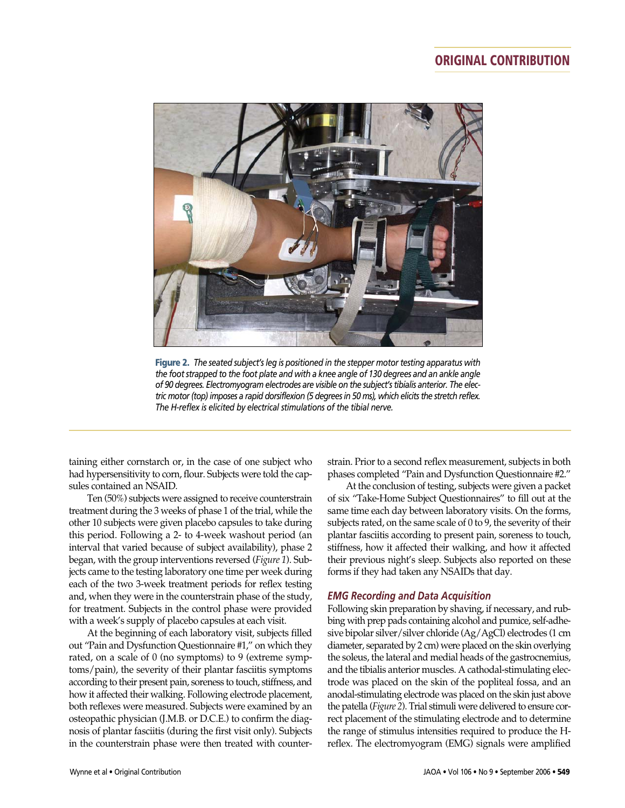

**Figure 2.** *The seated subject's leg is positioned in the stepper motor testing apparatus with the foot strapped to the foot plate and with a knee angle of 130 degrees and an ankle angle of 90 degrees. Electromyogram electrodes are visible on the subject's tibialis anterior. The electric motor (top) imposes a rapid dorsiflexion (5 degrees in 50 ms), which elicits the stretch reflex. The H-reflex is elicited by electrical stimulations of the tibial nerve.*

taining either cornstarch or, in the case of one subject who had hypersensitivity to corn, flour. Subjects were told the capsules contained an NSAID.

Ten (50%) subjects were assigned to receive counterstrain treatment during the 3 weeks of phase 1 of the trial, while the other 10 subjects were given placebo capsules to take during this period. Following a 2- to 4-week washout period (an interval that varied because of subject availability), phase 2 began, with the group interventions reversed (*Figure 1*). Subjects came to the testing laboratory one time per week during each of the two 3-week treatment periods for reflex testing and, when they were in the counterstrain phase of the study, for treatment. Subjects in the control phase were provided with a week's supply of placebo capsules at each visit.

At the beginning of each laboratory visit, subjects filled out "Pain and Dysfunction Questionnaire #1," on which they rated, on a scale of 0 (no symptoms) to 9 (extreme symptoms/pain), the severity of their plantar fasciitis symptoms according to their present pain, soreness to touch, stiffness, and how it affected their walking. Following electrode placement, both reflexes were measured. Subjects were examined by an osteopathic physician (J.M.B. or D.C.E.) to confirm the diagnosis of plantar fasciitis (during the first visit only). Subjects in the counterstrain phase were then treated with counterstrain. Prior to a second reflex measurement, subjects in both phases completed "Pain and Dysfunction Questionnaire #2."

At the conclusion of testing, subjects were given a packet of six "Take-Home Subject Questionnaires" to fill out at the same time each day between laboratory visits. On the forms, subjects rated, on the same scale of 0 to 9, the severity of their plantar fasciitis according to present pain, soreness to touch, stiffness, how it affected their walking, and how it affected their previous night's sleep. Subjects also reported on these forms if they had taken any NSAIDs that day.

#### *EMG Recording and Data Acquisition*

Following skin preparation by shaving, if necessary, and rubbing with prep pads containing alcohol and pumice, self-adhesive bipolar silver/silver chloride (Ag/AgCl) electrodes (1 cm diameter, separated by 2 cm) were placed on the skin overlying the soleus, the lateral and medial heads of the gastrocnemius, and the tibialis anterior muscles. A cathodal-stimulating electrode was placed on the skin of the popliteal fossa, and an anodal-stimulating electrode was placed on the skin just above the patella (*Figure 2*). Trial stimuli were delivered to ensure correct placement of the stimulating electrode and to determine the range of stimulus intensities required to produce the Hreflex. The electromyogram (EMG) signals were amplified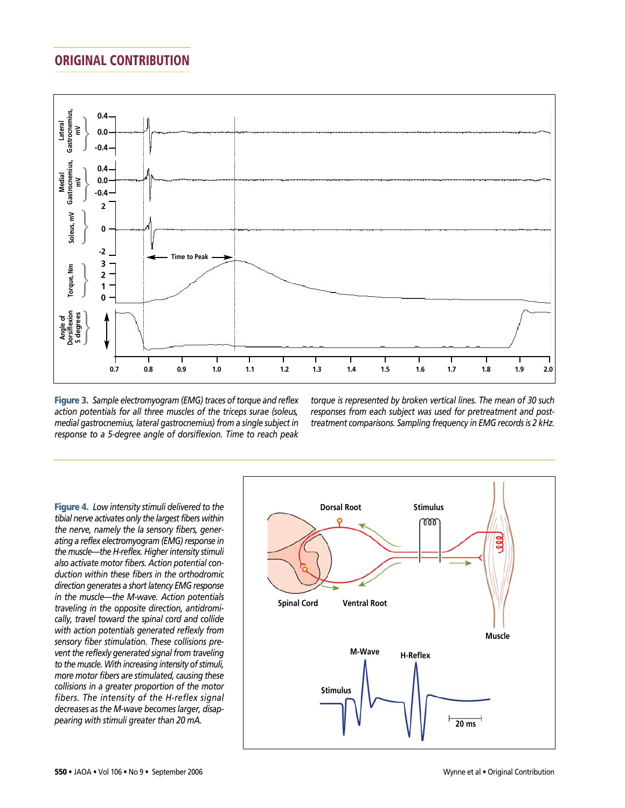

**Figure 3.** *Sample electromyogram (EMG) traces of torque and reflex action potentials for all three muscles of the triceps surae (soleus, medial gastrocnemius, lateral gastrocnemius) from a single subject in response to a 5-degree angle of dorsiflexion. Time to reach peak* *torque is represented by broken vertical lines. The mean of 30 such responses from each subject was used for pretreatment and posttreatment comparisons. Sampling frequency in EMG records is 2 kHz.*

**Figure 4.** *Low intensity stimuli delivered to the tibial nerve activates only the largest fibers within the nerve, namely the Ia sensory fibers, generating a reflex electromyogram (EMG) response in the muscle—the H-reflex. Higher intensity stimuli also activate motor fibers. Action potential conduction within these fibers in the orthodromic direction generates a short latency EMG response in the muscle—the M-wave. Action potentials traveling in the opposite direction, antidromically, travel toward the spinal cord and collide with action potentials generated reflexly from sensory fiber stimulation. These collisions prevent the reflexly generated signal from traveling to the muscle. With increasing intensity of stimuli, more motor fibers are stimulated, causing these collisions in a greater proportion of the motor fibers. The intensity of the H-reflex signal decreases as the M-wave becomes larger, disappearing with stimuli greater than 20 mA.*

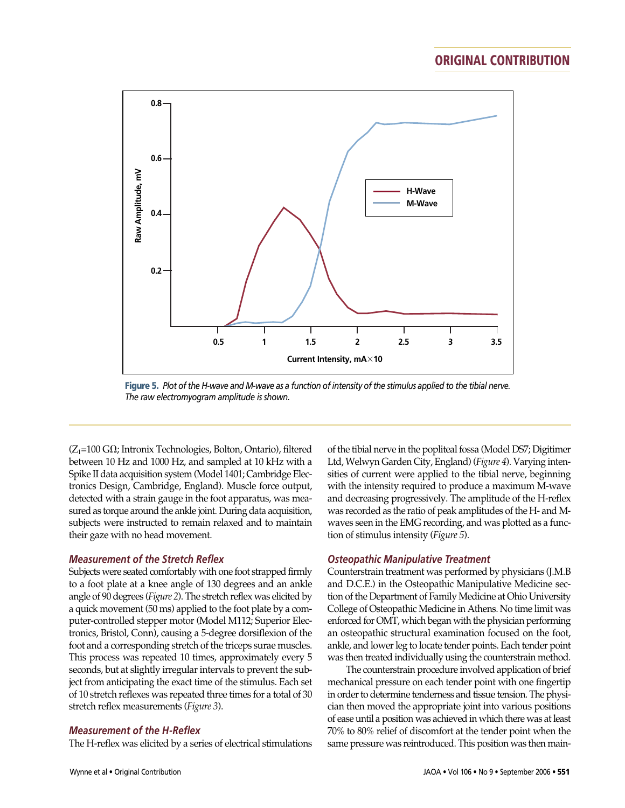

**Figure 5.** *Plot of the H-wave and M-wave as a function of intensity of the stimulus applied to the tibial nerve. The raw electromyogram amplitude is shown.*

 $(Z_1=100 \text{ G}\Omega)$ ; Intronix Technologies, Bolton, Ontario), filtered between 10 Hz and 1000 Hz, and sampled at 10 kHz with a Spike II data acquisition system (Model 1401; Cambridge Electronics Design, Cambridge, England). Muscle force output, detected with a strain gauge in the foot apparatus, was measured as torque around the ankle joint. During data acquisition, subjects were instructed to remain relaxed and to maintain their gaze with no head movement.

#### *Measurement of the Stretch Reflex*

Subjects were seated comfortably with one foot strapped firmly to a foot plate at a knee angle of 130 degrees and an ankle angle of 90 degrees (*Figure 2*). The stretch reflex was elicited by a quick movement (50 ms) applied to the foot plate by a computer-controlled stepper motor (Model M112; Superior Electronics, Bristol, Conn), causing a 5-degree dorsiflexion of the foot and a corresponding stretch of the triceps surae muscles. This process was repeated 10 times, approximately every 5 seconds, but at slightly irregular intervals to prevent the subject from anticipating the exact time of the stimulus. Each set of 10 stretch reflexes was repeated three times for a total of 30 stretch reflex measurements (*Figure 3*).

### *Measurement of the H-Reflex*

The H-reflex was elicited by a series of electrical stimulations

of the tibial nerve in the popliteal fossa (Model DS7; Digitimer Ltd, Welwyn Garden City, England) (*Figure 4*). Varying intensities of current were applied to the tibial nerve, beginning with the intensity required to produce a maximum M-wave and decreasing progressively. The amplitude of the H-reflex was recorded as the ratio of peak amplitudes of the H- and Mwaves seen in the EMG recording, and was plotted as a function of stimulus intensity (*Figure 5*).

### *Osteopathic Manipulative Treatment*

Counterstrain treatment was performed by physicians (J.M.B and D.C.E.) in the Osteopathic Manipulative Medicine section of the Department of Family Medicine at Ohio University College of Osteopathic Medicine in Athens. No time limit was enforced for OMT, which began with the physician performing an osteopathic structural examination focused on the foot, ankle, and lower leg to locate tender points. Each tender point was then treated individually using the counterstrain method.

The counterstrain procedure involved application of brief mechanical pressure on each tender point with one fingertip in order to determine tenderness and tissue tension. The physician then moved the appropriate joint into various positions of ease until a position was achieved in which there was at least 70% to 80% relief of discomfort at the tender point when the same pressure was reintroduced. This position was then main-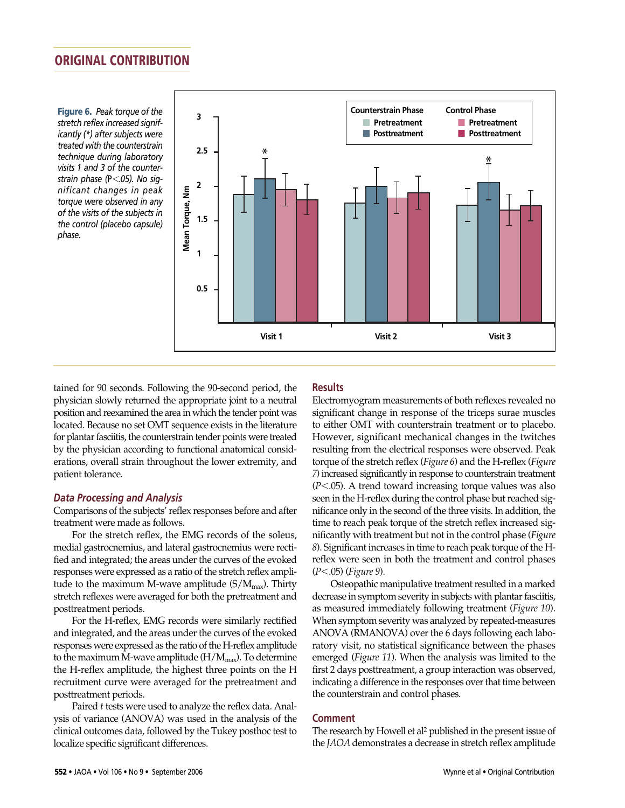**Figure 6.** *Peak torque of the stretch reflex increased significantly (\*) after subjects were treated with the counterstrain technique during laboratory visits 1 and 3 of the counterstrain phase (*P-*.05). No significant changes in peak torque were observed in any of the visits of the subjects in the control (placebo capsule) phase.*



tained for 90 seconds. Following the 90-second period, the physician slowly returned the appropriate joint to a neutral position and reexamined the area in which the tender point was located. Because no set OMT sequence exists in the literature for plantar fasciitis, the counterstrain tender points were treated by the physician according to functional anatomical considerations, overall strain throughout the lower extremity, and patient tolerance.

### *Data Processing and Analysis*

Comparisons of the subjects' reflex responses before and after treatment were made as follows.

For the stretch reflex, the EMG records of the soleus, medial gastrocnemius, and lateral gastrocnemius were rectified and integrated; the areas under the curves of the evoked responses were expressed as a ratio of the stretch reflex amplitude to the maximum M-wave amplitude  $(S/M_{\text{max}})$ . Thirty stretch reflexes were averaged for both the pretreatment and posttreatment periods.

For the H-reflex, EMG records were similarly rectified and integrated, and the areas under the curves of the evoked responses were expressed as the ratio of the H-reflex amplitude to the maximum M-wave amplitude  $(H/M_{max})$ . To determine the H-reflex amplitude, the highest three points on the H recruitment curve were averaged for the pretreatment and posttreatment periods.

Paired *t* tests were used to analyze the reflex data. Analysis of variance (ANOVA) was used in the analysis of the clinical outcomes data, followed by the Tukey posthoc test to localize specific significant differences.

### **Results**

Electromyogram measurements of both reflexes revealed no significant change in response of the triceps surae muscles to either OMT with counterstrain treatment or to placebo. However, significant mechanical changes in the twitches resulting from the electrical responses were observed. Peak torque of the stretch reflex (*Figure 6*) and the H-reflex (*Figure 7*) increased significantly in response to counterstrain treatment (*P*-.05). A trend toward increasing torque values was also seen in the H-reflex during the control phase but reached significance only in the second of the three visits. In addition, the time to reach peak torque of the stretch reflex increased significantly with treatment but not in the control phase (*Figure 8*). Significant increases in time to reach peak torque of the Hreflex were seen in both the treatment and control phases (*P*-.05) (*Figure 9*).

Osteopathic manipulative treatment resulted in a marked decrease in symptom severity in subjects with plantar fasciitis, as measured immediately following treatment (*Figure 10*). When symptom severity was analyzed by repeated-measures ANOVA (RMANOVA) over the 6 days following each laboratory visit, no statistical significance between the phases emerged (*Figure 11*). When the analysis was limited to the first 2 days posttreatment, a group interaction was observed, indicating a difference in the responses over that time between the counterstrain and control phases.

### **Comment**

The research by Howell et al2 published in the present issue of the *JAOA* demonstrates a decrease in stretch reflex amplitude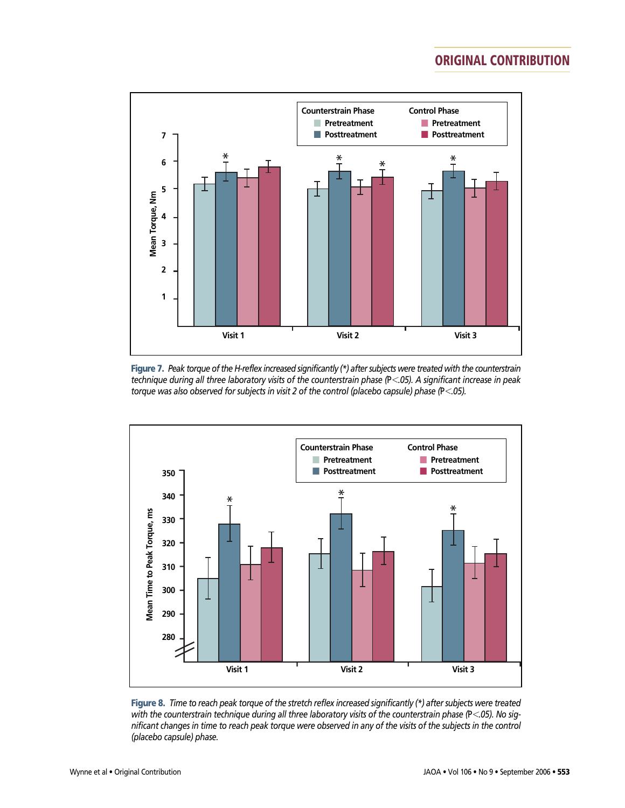

**Figure 7.** *Peak torque of the H-reflex increased significantly (\*) after subjects were treated with the counterstrain technique during all three laboratory visits of the counterstrain phase (*P-*.05). A significant increase in peak torque was also observed for subjects in visit 2 of the control (placebo capsule) phase (*P-*.05).*



**Figure 8.** *Time to reach peak torque of the stretch reflex increased significantly (\*) after subjects were treated with the counterstrain technique during all three laboratory visits of the counterstrain phase (*P-*.05). No significant changes in time to reach peak torque were observed in any of the visits of the subjects in the control (placebo capsule) phase.*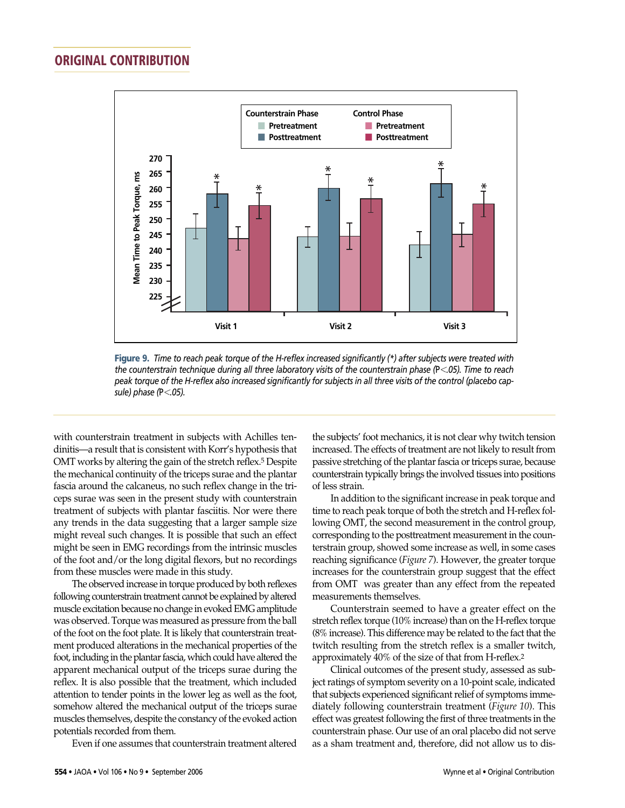

**Figure 9.** *Time to reach peak torque of the H-reflex increased significantly (\*) after subjects were treated with the counterstrain technique during all three laboratory visits of the counterstrain phase (*P-*.05). Time to reach peak torque of the H-reflex also increased significantly for subjects in all three visits of the control (placebo capsule) phase (*P-*.05).*

with counterstrain treatment in subjects with Achilles tendinitis—a result that is consistent with Korr's hypothesis that OMT works by altering the gain of the stretch reflex.<sup>5</sup> Despite the mechanical continuity of the triceps surae and the plantar fascia around the calcaneus, no such reflex change in the triceps surae was seen in the present study with counterstrain treatment of subjects with plantar fasciitis. Nor were there any trends in the data suggesting that a larger sample size might reveal such changes. It is possible that such an effect might be seen in EMG recordings from the intrinsic muscles of the foot and/or the long digital flexors, but no recordings from these muscles were made in this study.

The observed increase in torque produced by both reflexes following counterstrain treatment cannot be explained by altered muscle excitation because no change in evoked EMG amplitude was observed. Torque was measured as pressure from the ball of the foot on the foot plate. It is likely that counterstrain treatment produced alterations in the mechanical properties of the foot, including in the plantar fascia, which could have altered the apparent mechanical output of the triceps surae during the reflex. It is also possible that the treatment, which included attention to tender points in the lower leg as well as the foot, somehow altered the mechanical output of the triceps surae muscles themselves, despite the constancy of the evoked action potentials recorded from them.

Even if one assumes that counterstrain treatment altered

the subjects' foot mechanics, it is not clear why twitch tension increased. The effects of treatment are not likely to result from passive stretching of the plantar fascia or triceps surae, because counterstrain typically brings the involved tissues into positions of less strain.

In addition to the significant increase in peak torque and time to reach peak torque of both the stretch and H-reflex following OMT, the second measurement in the control group, corresponding to the posttreatment measurement in the counterstrain group, showed some increase as well, in some cases reaching significance (*Figure 7*). However, the greater torque increases for the counterstrain group suggest that the effect from OMT was greater than any effect from the repeated measurements themselves.

Counterstrain seemed to have a greater effect on the stretch reflex torque (10% increase) than on the H-reflex torque (8% increase). This difference may be related to the fact that the twitch resulting from the stretch reflex is a smaller twitch, approximately 40% of the size of that from H-reflex.2

Clinical outcomes of the present study, assessed as subject ratings of symptom severity on a 10-point scale, indicated that subjects experienced significant relief of symptoms immediately following counterstrain treatment (*Figure 10*). This effect was greatest following the first of three treatments in the counterstrain phase. Our use of an oral placebo did not serve as a sham treatment and, therefore, did not allow us to dis-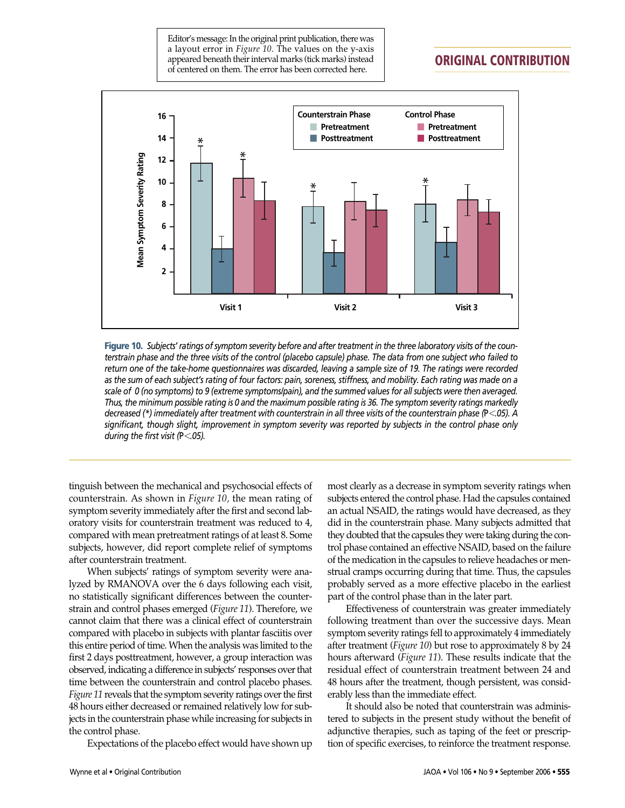Editor's message: In the original print publication, there was a layout error in *Figure 10*. The values on the y-axis appeared beneath their interval marks (tick marks) instead of centered on them. The error has been corrected here.

## **ORIGINAL CONTRIBUTION**



**Figure 10.** *Subjects' ratings of symptom severity before and after treatment in the three laboratory visits of the counterstrain phase and the three visits of the control (placebo capsule) phase. The data from one subject who failed to return one of the take-home questionnaires was discarded, leaving a sample size of 19. The ratings were recorded as the sum of each subject's rating of four factors: pain, soreness, stiffness, and mobility. Each rating was made on a scale of 0 (no symptoms) to 9 (extreme symptoms/pain), and the summed values for all subjects were then averaged. Thus, the minimum possible rating is 0 and the maximum possible rating is 36. The symptom severity ratings markedly decreased (\*) immediately after treatment with counterstrain in all three visits of the counterstrain phase (*P-*.05). A significant, though slight, improvement in symptom severity was reported by subjects in the control phase only during the first visit (*P-*.05).*

tinguish between the mechanical and psychosocial effects of counterstrain. As shown in *Figure 10,* the mean rating of symptom severity immediately after the first and second laboratory visits for counterstrain treatment was reduced to 4, compared with mean pretreatment ratings of at least 8. Some subjects, however, did report complete relief of symptoms after counterstrain treatment.

When subjects' ratings of symptom severity were analyzed by RMANOVA over the 6 days following each visit, no statistically significant differences between the counterstrain and control phases emerged (*Figure 11*). Therefore, we cannot claim that there was a clinical effect of counterstrain compared with placebo in subjects with plantar fasciitis over this entire period of time. When the analysis was limited to the first 2 days posttreatment, however, a group interaction was observed, indicating a difference in subjects' responses over that time between the counterstrain and control placebo phases. *Figure 11* reveals that the symptom severity ratings over the first 48 hours either decreased or remained relatively low for subjects in the counterstrain phase while increasing for subjects in the control phase.

Expectations of the placebo effect would have shown up

most clearly as a decrease in symptom severity ratings when subjects entered the control phase. Had the capsules contained an actual NSAID, the ratings would have decreased, as they did in the counterstrain phase. Many subjects admitted that they doubted that the capsules they were taking during the control phase contained an effective NSAID, based on the failure of the medication in the capsules to relieve headaches or menstrual cramps occurring during that time. Thus, the capsules probably served as a more effective placebo in the earliest part of the control phase than in the later part.

Effectiveness of counterstrain was greater immediately following treatment than over the successive days. Mean symptom severity ratings fell to approximately 4 immediately after treatment (*Figure 10*) but rose to approximately 8 by 24 hours afterward (*Figure 11*). These results indicate that the residual effect of counterstrain treatment between 24 and 48 hours after the treatment, though persistent, was considerably less than the immediate effect.

It should also be noted that counterstrain was administered to subjects in the present study without the benefit of adjunctive therapies, such as taping of the feet or prescription of specific exercises, to reinforce the treatment response.